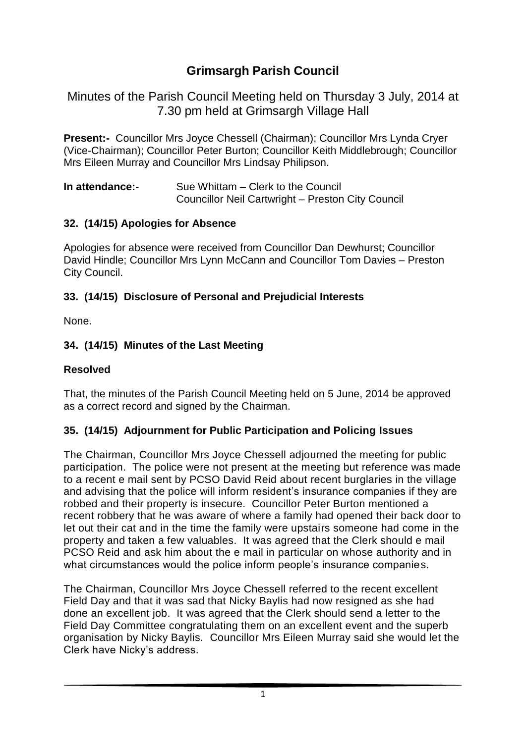# **Grimsargh Parish Council**

Minutes of the Parish Council Meeting held on Thursday 3 July, 2014 at 7.30 pm held at Grimsargh Village Hall

**Present:-** Councillor Mrs Joyce Chessell (Chairman); Councillor Mrs Lynda Cryer (Vice-Chairman); Councillor Peter Burton; Councillor Keith Middlebrough; Councillor Mrs Eileen Murray and Councillor Mrs Lindsay Philipson.

| In attendance:- | Sue Whittam – Clerk to the Council                |
|-----------------|---------------------------------------------------|
|                 | Councillor Neil Cartwright - Preston City Council |

#### **32. (14/15) Apologies for Absence**

Apologies for absence were received from Councillor Dan Dewhurst; Councillor David Hindle; Councillor Mrs Lynn McCann and Councillor Tom Davies – Preston City Council.

### **33. (14/15) Disclosure of Personal and Prejudicial Interests**

None.

### **34. (14/15) Minutes of the Last Meeting**

### **Resolved**

That, the minutes of the Parish Council Meeting held on 5 June, 2014 be approved as a correct record and signed by the Chairman.

### **35. (14/15) Adjournment for Public Participation and Policing Issues**

The Chairman, Councillor Mrs Joyce Chessell adjourned the meeting for public participation. The police were not present at the meeting but reference was made to a recent e mail sent by PCSO David Reid about recent burglaries in the village and advising that the police will inform resident's insurance companies if they are robbed and their property is insecure. Councillor Peter Burton mentioned a recent robbery that he was aware of where a family had opened their back door to let out their cat and in the time the family were upstairs someone had come in the property and taken a few valuables. It was agreed that the Clerk should e mail PCSO Reid and ask him about the e mail in particular on whose authority and in what circumstances would the police inform people's insurance companies.

The Chairman, Councillor Mrs Joyce Chessell referred to the recent excellent Field Day and that it was sad that Nicky Baylis had now resigned as she had done an excellent job. It was agreed that the Clerk should send a letter to the Field Day Committee congratulating them on an excellent event and the superb organisation by Nicky Baylis. Councillor Mrs Eileen Murray said she would let the Clerk have Nicky's address.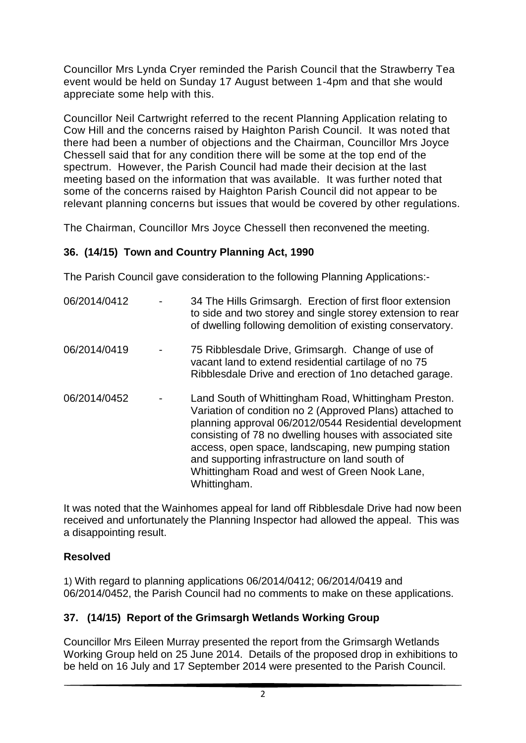Councillor Mrs Lynda Cryer reminded the Parish Council that the Strawberry Tea event would be held on Sunday 17 August between 1-4pm and that she would appreciate some help with this.

Councillor Neil Cartwright referred to the recent Planning Application relating to Cow Hill and the concerns raised by Haighton Parish Council. It was noted that there had been a number of objections and the Chairman, Councillor Mrs Joyce Chessell said that for any condition there will be some at the top end of the spectrum. However, the Parish Council had made their decision at the last meeting based on the information that was available. It was further noted that some of the concerns raised by Haighton Parish Council did not appear to be relevant planning concerns but issues that would be covered by other regulations.

The Chairman, Councillor Mrs Joyce Chessell then reconvened the meeting.

## **36. (14/15) Town and Country Planning Act, 1990**

The Parish Council gave consideration to the following Planning Applications:-

| 06/2014/0412 | 34 The Hills Grimsargh. Erection of first floor extension<br>to side and two storey and single storey extension to rear<br>of dwelling following demolition of existing conservatory.                                                                                                                                                                                                                             |
|--------------|-------------------------------------------------------------------------------------------------------------------------------------------------------------------------------------------------------------------------------------------------------------------------------------------------------------------------------------------------------------------------------------------------------------------|
| 06/2014/0419 | 75 Ribblesdale Drive, Grimsargh. Change of use of<br>vacant land to extend residential cartilage of no 75<br>Ribblesdale Drive and erection of 1no detached garage.                                                                                                                                                                                                                                               |
| 06/2014/0452 | Land South of Whittingham Road, Whittingham Preston.<br>Variation of condition no 2 (Approved Plans) attached to<br>planning approval 06/2012/0544 Residential development<br>consisting of 78 no dwelling houses with associated site<br>access, open space, landscaping, new pumping station<br>and supporting infrastructure on land south of<br>Whittingham Road and west of Green Nook Lane,<br>Whittingham. |

It was noted that the Wainhomes appeal for land off Ribblesdale Drive had now been received and unfortunately the Planning Inspector had allowed the appeal. This was a disappointing result.

### **Resolved**

1) With regard to planning applications 06/2014/0412; 06/2014/0419 and 06/2014/0452, the Parish Council had no comments to make on these applications.

## **37. (14/15) Report of the Grimsargh Wetlands Working Group**

Councillor Mrs Eileen Murray presented the report from the Grimsargh Wetlands Working Group held on 25 June 2014. Details of the proposed drop in exhibitions to be held on 16 July and 17 September 2014 were presented to the Parish Council.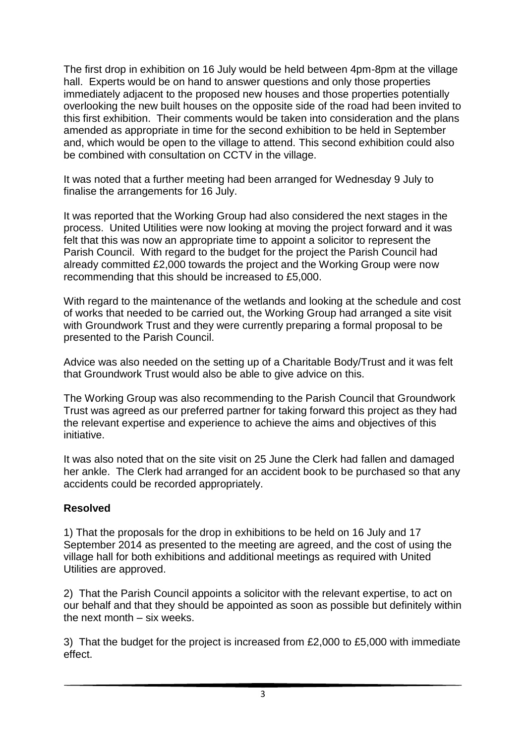The first drop in exhibition on 16 July would be held between 4pm-8pm at the village hall. Experts would be on hand to answer questions and only those properties immediately adjacent to the proposed new houses and those properties potentially overlooking the new built houses on the opposite side of the road had been invited to this first exhibition. Their comments would be taken into consideration and the plans amended as appropriate in time for the second exhibition to be held in September and, which would be open to the village to attend. This second exhibition could also be combined with consultation on CCTV in the village.

It was noted that a further meeting had been arranged for Wednesday 9 July to finalise the arrangements for 16 July.

It was reported that the Working Group had also considered the next stages in the process. United Utilities were now looking at moving the project forward and it was felt that this was now an appropriate time to appoint a solicitor to represent the Parish Council. With regard to the budget for the project the Parish Council had already committed £2,000 towards the project and the Working Group were now recommending that this should be increased to £5,000.

With regard to the maintenance of the wetlands and looking at the schedule and cost of works that needed to be carried out, the Working Group had arranged a site visit with Groundwork Trust and they were currently preparing a formal proposal to be presented to the Parish Council.

Advice was also needed on the setting up of a Charitable Body/Trust and it was felt that Groundwork Trust would also be able to give advice on this.

The Working Group was also recommending to the Parish Council that Groundwork Trust was agreed as our preferred partner for taking forward this project as they had the relevant expertise and experience to achieve the aims and objectives of this initiative.

It was also noted that on the site visit on 25 June the Clerk had fallen and damaged her ankle. The Clerk had arranged for an accident book to be purchased so that any accidents could be recorded appropriately.

### **Resolved**

1) That the proposals for the drop in exhibitions to be held on 16 July and 17 September 2014 as presented to the meeting are agreed, and the cost of using the village hall for both exhibitions and additional meetings as required with United Utilities are approved.

2) That the Parish Council appoints a solicitor with the relevant expertise, to act on our behalf and that they should be appointed as soon as possible but definitely within the next month – six weeks.

3) That the budget for the project is increased from £2,000 to £5,000 with immediate effect.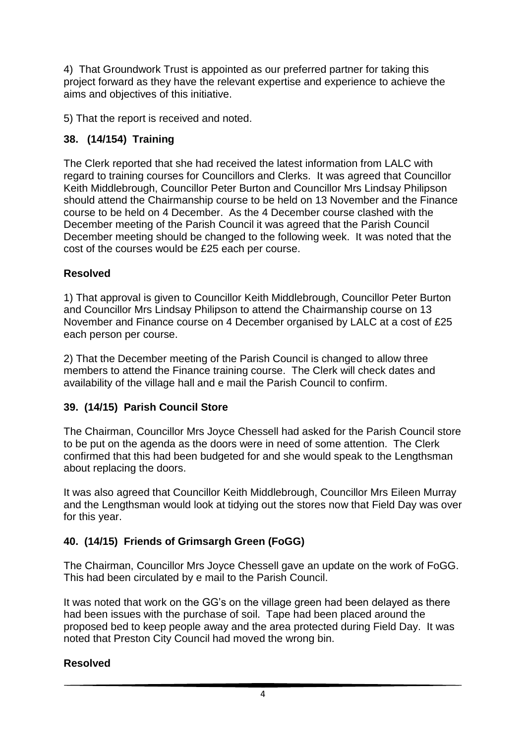4) That Groundwork Trust is appointed as our preferred partner for taking this project forward as they have the relevant expertise and experience to achieve the aims and objectives of this initiative.

5) That the report is received and noted.

## **38. (14/154) Training**

The Clerk reported that she had received the latest information from LALC with regard to training courses for Councillors and Clerks. It was agreed that Councillor Keith Middlebrough, Councillor Peter Burton and Councillor Mrs Lindsay Philipson should attend the Chairmanship course to be held on 13 November and the Finance course to be held on 4 December. As the 4 December course clashed with the December meeting of the Parish Council it was agreed that the Parish Council December meeting should be changed to the following week. It was noted that the cost of the courses would be £25 each per course.

## **Resolved**

1) That approval is given to Councillor Keith Middlebrough, Councillor Peter Burton and Councillor Mrs Lindsay Philipson to attend the Chairmanship course on 13 November and Finance course on 4 December organised by LALC at a cost of £25 each person per course.

2) That the December meeting of the Parish Council is changed to allow three members to attend the Finance training course. The Clerk will check dates and availability of the village hall and e mail the Parish Council to confirm.

### **39. (14/15) Parish Council Store**

The Chairman, Councillor Mrs Joyce Chessell had asked for the Parish Council store to be put on the agenda as the doors were in need of some attention. The Clerk confirmed that this had been budgeted for and she would speak to the Lengthsman about replacing the doors.

It was also agreed that Councillor Keith Middlebrough, Councillor Mrs Eileen Murray and the Lengthsman would look at tidying out the stores now that Field Day was over for this year.

## **40. (14/15) Friends of Grimsargh Green (FoGG)**

The Chairman, Councillor Mrs Joyce Chessell gave an update on the work of FoGG. This had been circulated by e mail to the Parish Council.

It was noted that work on the GG's on the village green had been delayed as there had been issues with the purchase of soil. Tape had been placed around the proposed bed to keep people away and the area protected during Field Day. It was noted that Preston City Council had moved the wrong bin.

### **Resolved**